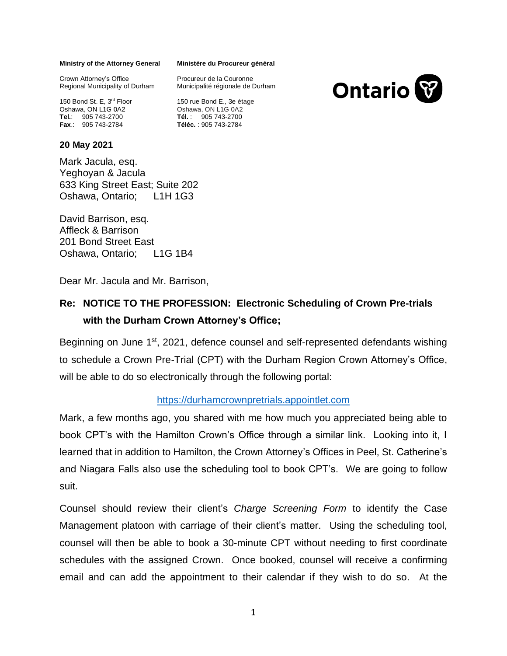#### **Ministry of the Attorney General**

Crown Attorney's Office Regional Municipality of Durham

150 Bond St. E, 3<sup>rd</sup> Floor Oshawa, ON L1G 0A2 **Tel.**: 905 743-2700 **Fax**.: 905 743-2784

### **20 May 2021**

Mark Jacula, esq. Yeghoyan & Jacula 633 King Street East; Suite 202 Oshawa, Ontario; L1H 1G3

David Barrison, esq. Affleck & Barrison 201 Bond Street East Oshawa, Ontario; L1G 1B4

Dear Mr. Jacula and Mr. Barrison,

# **Re: NOTICE TO THE PROFESSION: Electronic Scheduling of Crown Pre-trials with the Durham Crown Attorney's Office;**

Beginning on June 1<sup>st</sup>, 2021, defence counsel and self-represented defendants wishing to schedule a Crown Pre-Trial (CPT) with the Durham Region Crown Attorney's Office, will be able to do so electronically through the following portal:

## [https://durhamcrownpretrials.appointlet.com](https://durhamcrownpretrials.appointlet.com/)

Mark, a few months ago, you shared with me how much you appreciated being able to book CPT's with the Hamilton Crown's Office through a similar link. Looking into it, I learned that in addition to Hamilton, the Crown Attorney's Offices in Peel, St. Catherine's and Niagara Falls also use the scheduling tool to book CPT's. We are going to follow suit.

Counsel should review their client's *Charge Screening Form* to identify the Case Management platoon with carriage of their client's matter. Using the scheduling tool, counsel will then be able to book a 30-minute CPT without needing to first coordinate schedules with the assigned Crown. Once booked, counsel will receive a confirming email and can add the appointment to their calendar if they wish to do so. At the

### **Ministère du Procureur général**

Procureur de la Couronne Municipalité régionale de Durham

150 rue Bond E., 3e étage Oshawa, ON L1G 0A2 **Tél.** : 905 743-2700 **Téléc.** : 905 743-2784